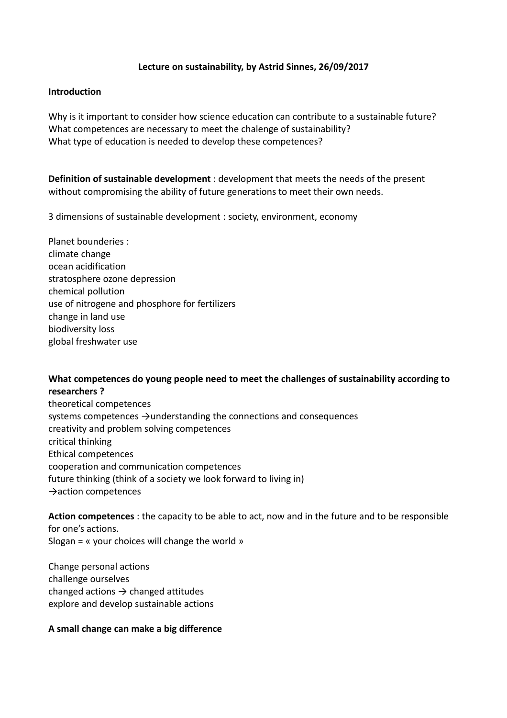## **Lecture on sustainability, by Astrid Sinnes, 26/09/2017**

#### **Introduction**

Why is it important to consider how science education can contribute to a sustainable future? What competences are necessary to meet the chalenge of sustainability? What type of education is needed to develop these competences?

**Definition of sustainable development** : development that meets the needs of the present without compromising the ability of future generations to meet their own needs.

3 dimensions of sustainable development : society, environment, economy

Planet bounderies : climate change ocean acidification stratosphere ozone depression chemical pollution use of nitrogene and phosphore for fertilizers change in land use biodiversity loss global freshwater use

## **What competences do young people need to meet the challenges of sustainability according to researchers ?**

theoretical competences systems competences  $\rightarrow$ understanding the connections and consequences creativity and problem solving competences critical thinking Ethical competences cooperation and communication competences future thinking (think of a society we look forward to living in) →action competences

**Action competences** : the capacity to be able to act, now and in the future and to be responsible for one's actions. Slogan = « your choices will change the world »

Change personal actions challenge ourselves changed actions  $\rightarrow$  changed attitudes explore and develop sustainable actions

#### **A small change can make a big difference**